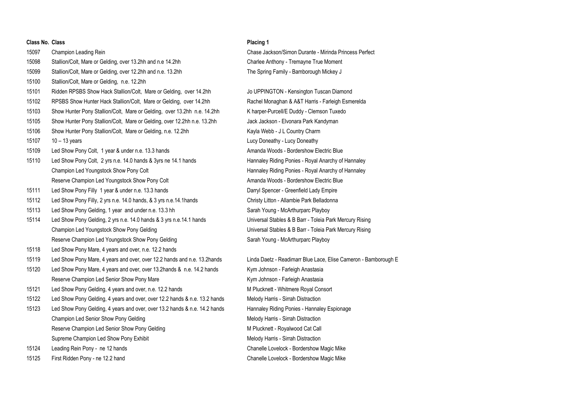## **Class No. Class Placing 1**

15097 Champion Leading Rein Chase Jackson/Simon Durante - Mirinda Princess Perfect 15098 Stallion/Colt, Mare or Gelding, over 13.2hh and n.e 14.2hh Charlee Anthony - Tremayne True Moment 15099 Stallion/Colt, Mare or Gelding, over 12.2hh and n.e. 13.2hh **The Spring Family - Bamborough Mickey J** 15100 Stallion/Colt, Mare or Gelding, n.e. 12.2hh 15101 Ridden RPSBS Show Hack Stallion/Colt, Mare or Gelding, over 14.2hh Jo UPPINGTON - Kensington Tuscan Diamond 15102 RPSBS Show Hunter Hack Stallion/Colt, Mare or Gelding, over 14.2hh Rachel Monaghan & A&T Harris - Farleigh Esmerelda 15103 Show Hunter Pony Stallion/Colt, Mare or Gelding, over 13.2hh n.e. 14.2hh K harper-Purcell/E Duddy - Clemson Tuxedo 15105 Show Hunter Pony Stallion/Colt, Mare or Gelding, over 12.2hh n.e. 13.2hh Jack Jackson - Elvonara Park Kandyman 15106 Show Hunter Pony Stallion/Colt, Mare or Gelding, n.e. 12.2hh Kayla Webb - J L Country Charm 15107 10 – 13 years Lucy Doneathy - Lucy Doneathy 15109 Led Show Pony Colt, 1 year & under n.e. 13.3 hands Amanda Woods - Bordershow Electric Blue 15110 Led Show Pony Colt, 2 yrs n.e. 14.0 hands & 3yrs ne 14.1 hands Hannaley Riding Ponies - Royal Anarchy of Hannaley Champion Led Youngstock Show Pony Colt **Hannaley Riding Ponies - Royal Anarchy of Hannaley** Riding Ponies - Royal Anarchy of Hannaley Reserve Champion Led Youngstock Show Pony Colt **Amanda Woods - Bordershow Electric Blue** 15111 Led Show Pony Filly 1 year & under n.e. 13.3 hands Darryl Spencer - Greenfield Lady Empire 15112 Led Show Pony Filly, 2 yrs n.e. 14.0 hands, & 3 yrs n.e.14.1hands Christy Litton - Allambie Park Belladonna 15113 Led Show Pony Gelding, 1 year and under n.e. 13.3 hh Sarah Young - McArthurparc Playboy 15114 Led Show Pony Gelding, 2 yrs n.e. 14.0 hands & 3 yrs n.e. 14.1 hands Universal Stables & B Barr - Toleia Park Mercury Rising Champion Led Youngstock Show Pony Gelding Universal Stables & B Barr - Toleia Park Mercury Rising Reserve Champion Led Youngstock Show Pony Gelding Sarah Young - McArthurparc Playboy 15118 Led Show Pony Mare, 4 years and over, n.e. 12.2 hands 15119 Led Show Pony Mare, 4 years and over, over 12.2 hands and n.e. 13.2hands Linda Daetz - Readimarr Blue Lace, Elise Cameron - Bamborough E 15120 Led Show Pony Mare, 4 years and over, over 13.2hands & n.e. 14.2 hands Kym Johnson - Farleigh Anastasia Reserve Champion Led Senior Show Pony Mare Kym Johnson - Farleigh Anastasia 15121 Led Show Pony Gelding, 4 years and over, n.e. 12.2 hands Manuscull Manuscull M Plucknett - Whitmere Royal Consort 15122 Led Show Pony Gelding, 4 years and over, over 12.2 hands & n.e. 13.2 hands Melody Harris - Sirrah Distraction 15123 Led Show Pony Gelding, 4 years and over, over 13.2 hands & n.e. 14.2 hands Hannaley Riding Ponies - Hannaley Espionage Champion Led Senior Show Pony Gelding Melody Harris - Sirrah Distraction Melody Harris - Sirrah Distraction Reserve Champion Led Senior Show Pony Gelding M Processes M Plucknett - Royalwood Cat Call Supreme Champion Led Show Pony Exhibit Melody Harris - Sirrah Distraction Melody Harris - Sirrah Distraction 15124 Leading Rein Pony - ne 12 hands Chanelle Lovelock - Bordershow Magic Mike 15125 First Ridden Pony - ne 12.2 hand Chanelle Lovelock - Bordershow Magic Mike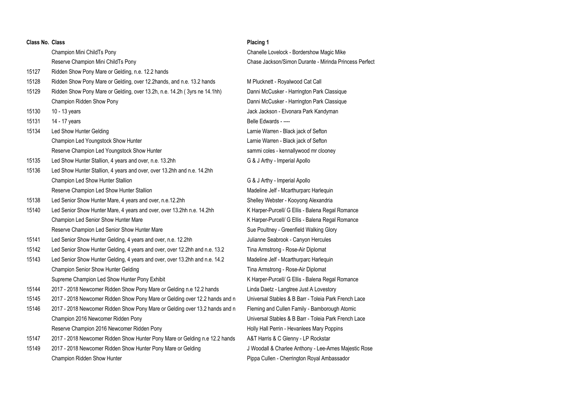| Class No. Class |                                                                             | Placing 1         |
|-----------------|-----------------------------------------------------------------------------|-------------------|
|                 | Champion Mini ChildTs Pony                                                  | Chanelle          |
|                 | Reserve Champion Mini ChildTs Pony                                          | Chase Ja          |
| 15127           | Ridden Show Pony Mare or Gelding, n.e. 12.2 hands                           |                   |
| 15128           | Ridden Show Pony Mare or Gelding, over 12.2hands, and n.e. 13.2 hands       | M Pluckne         |
| 15129           | Ridden Show Pony Mare or Gelding, over 13.2h, n.e. 14.2h (3yrs ne 14.1hh)   | Danni Mc          |
|                 | Champion Ridden Show Pony                                                   | Danni Mc          |
| 15130           | 10 - 13 years                                                               | Jack Jack         |
| 15131           | 14 - 17 years                                                               | <b>Belle Edw</b>  |
| 15134           | Led Show Hunter Gelding                                                     | Larnie Wa         |
|                 | Champion Led Youngstock Show Hunter                                         | Larnie Wa         |
|                 | Reserve Champion Led Youngstock Show Hunter                                 | sammi co          |
| 15135           | Led Show Hunter Stallion, 4 years and over, n.e. 13.2hh                     | G & J Arth        |
| 15136           | Led Show Hunter Stallion, 4 years and over, over 13.2hh and n.e. 14.2hh     |                   |
|                 | Champion Led Show Hunter Stallion                                           | G & J Arth        |
|                 | Reserve Champion Led Show Hunter Stallion                                   | Madeline          |
| 15138           | Led Senior Show Hunter Mare, 4 years and over, n.e.12.2hh                   | Shelley W         |
| 15140           | Led Senior Show Hunter Mare, 4 years and over, over 13.2hh n.e. 14.2hh      | K Harper-         |
|                 | Champion Led Senior Show Hunter Mare                                        | K Harper-         |
|                 | Reserve Champion Led Senior Show Hunter Mare                                | Sue Poult         |
| 15141           | Led Senior Show Hunter Gelding, 4 years and over, n.e. 12.2hh               | Julianne S        |
| 15142           | Led Senior Show Hunter Gelding, 4 years and over, over 12.2hh and n.e. 13.2 | <b>Tina Arms</b>  |
| 15143           | Led Senior Show Hunter Gelding, 4 years and over, over 13.2hh and n.e. 14.2 | Madeline          |
|                 | Champion Senior Show Hunter Gelding                                         | <b>Tina Arms</b>  |
|                 | Supreme Champion Led Show Hunter Pony Exhibit                               | K Harper-         |
| 15144           | 2017 - 2018 Newcomer Ridden Show Pony Mare or Gelding n.e 12.2 hands        | Linda Dae         |
| 15145           | 2017 - 2018 Newcomer Ridden Show Pony Mare or Gelding over 12.2 hands and n | Universal         |
| 15146           | 2017 - 2018 Newcomer Ridden Show Pony Mare or Gelding over 13.2 hands and n | Fleming a         |
|                 | Champion 2016 Newcomer Ridden Pony                                          | Universal         |
|                 | Reserve Champion 2016 Newcomer Ridden Pony                                  | <b>Holly Hall</b> |
| 15147           | 2017 - 2018 Newcomer Ridden Show Hunter Pony Mare or Gelding n.e 12.2 hands | A&T Harri         |
| 15149           | 2017 - 2018 Newcomer Ridden Show Hunter Pony Mare or Gelding                | J Woodall         |
|                 | Champion Ridden Show Hunter                                                 | Pippa Cul         |

Chanelle Lovelock - Bordershow Magic Mike Chase Jackson/Simon Durante - Mirinda Princess Perfect

1512 M Plucknett - Royalwood Cat Call Danni McCusker - Harrington Park Classique Danni McCusker - Harrington Park Classique Jack Jackson - Elvonara Park Kandyman Belle Edwards - ----Larnie Warren - Black jack of Sefton Larnie Warren - Black jack of Sefton sammi coles - kennallywood mr clooney G & J Arthy - Imperial Apollo

G & J Arthy - Imperial Apollo Madeline Jelf - Mcarthurparc Harlequin Shelley Webster - Kooyong Alexandria K Harper-Purcell/ G Ellis - Balena Regal Romance K Harper-Purcell/ G Ellis - Balena Regal Romance Sue Poultney - Greenfield Walking Glory Julianne Seabrook - Canyon Hercules Tina Armstrong - Rose-Air Diplomat Madeline Jelf - Mcarthurparc Harlequin Tina Armstrong - Rose-Air Diplomat K Harper-Purcell/ G Ellis - Balena Regal Romance Linda Daetz - Langtree Just A Lovestory Universal Stables & B Barr - Toleia Park French Lace Fleming and Cullen Family - Bamborough Atomic Universal Stables & B Barr - Toleia Park French Lace Holly Hall Perrin - Hevanlees Mary Poppins A&T Harris & C Glenny - LP Rockstar J Woodall & Charlee Anthony - Lee-Arnes Majestic Rose Pippa Cullen - Cherrington Royal Ambassador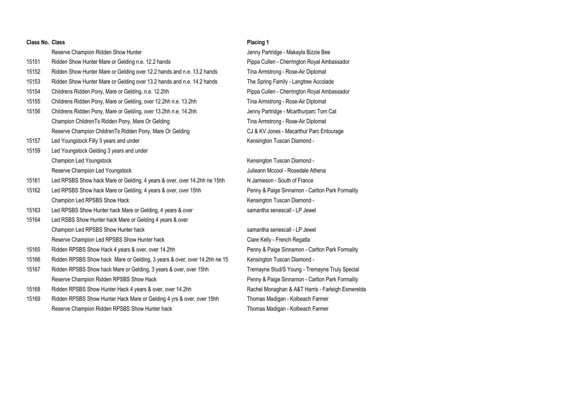| Class No. Class |                                                                           | Placing 1                                         |
|-----------------|---------------------------------------------------------------------------|---------------------------------------------------|
|                 | Reserve Champion Ridden Show Hunter                                       | Jenny Partridge - Makayla Bizzie Bee              |
| 15151           | Ridden Show Hunter Mare or Gelding n.e. 12.2 hands                        | Pippa Cullen - Cherrington Royal Ambassador       |
| 15152           | Ridden Show Hunter Mare or Gelding over 12.2 hands and n.e. 13.2 hands    | Tina Armstrong - Rose-Air Diplomat                |
| 15153           | Ridden Show Hunter Mare or Gelding over 13.2 hands and n.e. 14.2 hands    | The Spring Family - Langtree Accolade             |
| 15154           | Childrens Ridden Pony, Mare or Gelding, n.e. 12.2hh                       | Pippa Cullen - Cherrington Royal Ambassador       |
| 15155           | Childrens Ridden Pony, Mare or Gelding, over 12.2hh n.e. 13.2hh           | Tina Armstrong - Rose-Air Diplomat                |
| 15156           | Childrens Ridden Pony, Mare or Gelding, over 13.2hh n.e. 14.2hh           | Jenny Partridge - Mcarthurparc Tom Cat            |
|                 | Champion ChildrenTs Ridden Pony, Mare Or Gelding                          | Tina Armstrong - Rose-Air Diplomat                |
|                 | Reserve Champion ChildrenTs Ridden Pony, Mare Or Gelding                  | CJ & KV Jones - Macarthur Parc Entourage          |
| 15157           | Led Youngstock Filly 3 years and under                                    | Kensington Tuscan Diamond -                       |
| 15159           | Led Youngstock Gelding 3 years and under                                  |                                                   |
|                 | Champion Led Youngstock                                                   | Kensington Tuscan Diamond -                       |
|                 | Reserve Champion Led Youngstock                                           | Julieann Mccool - Rosedale Athena                 |
| 15161           | Led RPSBS Show hack Mare or Gelding, 4 years & over, over 14.2hh ne 15hh  | N Jamieson - South of France                      |
| 15162           | Led RPSBS Show hack Mare or Gelding, 4 years & over, over 15hh            | Penny & Paige Sinnamon - Carlton Park Formality   |
|                 | Champion Led RPSBS Show Hack                                              | Kensington Tuscan Diamond -                       |
| 15163           | Led RPSBS Show Hunter hack Mare or Gelding, 4 years & over                | samantha senescall - LP Jewel                     |
| 15164           | Led RSBS Show Hunter hack Mare or Gelding 4 years & over                  |                                                   |
|                 | Champion Led RPSBS Show Hunter hack                                       | samantha senescall - LP Jewel                     |
|                 | Reserve Champion Led RPSBS Show Hunter hack                               | Clare Kelly - French Regatta                      |
| 15165           | Ridden RPSBS Show Hack 4 years & over, over 14.2hh                        | Penny & Paige Sinnamon - Carlton Park Formality   |
| 15166           | Ridden RPSBS Show hack Mare or Gelding, 3 years & over, over 14.2hh ne 15 | Kensington Tuscan Diamond -                       |
| 15167           | Ridden RPSBS Show hack Mare or Gelding, 3 years & over, over 15hh         | Tremayne Stud/S Young - Tremayne Truly Special    |
|                 | Reserve Champion Ridden RPSBS Show Hack                                   | Penny & Paige Sinnamon - Carlton Park Formality   |
| 15168           | Ridden RPSBS Show Hunter Hack 4 years & over, over 14.2hh                 | Rachel Monaghan & A&T Harris - Farleigh Esmerelda |
| 15169           | Ridden RPSBS Show Hunter Hack Mare or Gelding 4 yrs & over, over 15hh     | Thomas Madigan - Kolbeach Farmer                  |
|                 | Reserve Champion Ridden RPSBS Show Hunter hack                            | Thomas Madigan - Kolbeach Farmer                  |
|                 |                                                                           |                                                   |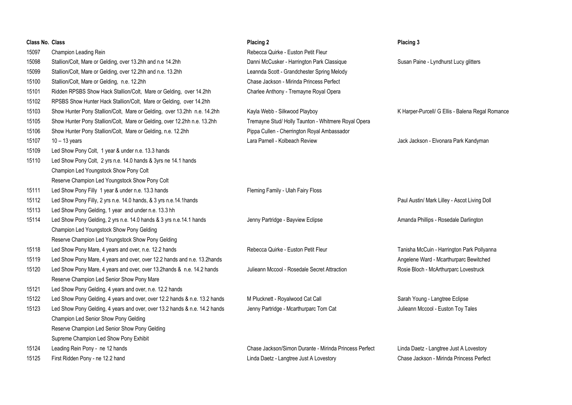| <b>Class No. Class</b> |                                                                            | Placing 2                                              | Placing 3                                        |
|------------------------|----------------------------------------------------------------------------|--------------------------------------------------------|--------------------------------------------------|
| 15097                  | Champion Leading Rein                                                      | Rebecca Quirke - Euston Petit Fleur                    |                                                  |
| 15098                  | Stallion/Colt, Mare or Gelding, over 13.2hh and n.e 14.2hh                 | Danni McCusker - Harrington Park Classique             | Susan Paine - Lyndhurst Lucy glitters            |
| 15099                  | Stallion/Colt, Mare or Gelding, over 12.2hh and n.e. 13.2hh                | Leannda Scott - Grandchester Spring Melody             |                                                  |
| 15100                  | Stallion/Colt, Mare or Gelding, n.e. 12.2hh                                | Chase Jackson - Mirinda Princess Perfect               |                                                  |
| 15101                  | Ridden RPSBS Show Hack Stallion/Colt, Mare or Gelding, over 14.2hh         | Charlee Anthony - Tremayne Royal Opera                 |                                                  |
| 15102                  | RPSBS Show Hunter Hack Stallion/Colt, Mare or Gelding, over 14.2hh         |                                                        |                                                  |
| 15103                  | Show Hunter Pony Stallion/Colt, Mare or Gelding, over 13.2hh n.e. 14.2hh   | Kayla Webb - Silkwood Playboy                          | K Harper-Purcell/ G Ellis - Balena Regal Romance |
| 15105                  | Show Hunter Pony Stallion/Colt, Mare or Gelding, over 12.2hh n.e. 13.2hh   | Tremayne Stud/ Holly Taunton - Whitmere Royal Opera    |                                                  |
| 15106                  | Show Hunter Pony Stallion/Colt, Mare or Gelding, n.e. 12.2hh               | Pippa Cullen - Cherrington Royal Ambassador            |                                                  |
| 15107                  | $10 - 13$ years                                                            | Lara Parnell - Kolbeach Review                         | Jack Jackson - Elvonara Park Kandyman            |
| 15109                  | Led Show Pony Colt, 1 year & under n.e. 13.3 hands                         |                                                        |                                                  |
| 15110                  | Led Show Pony Colt, 2 yrs n.e. 14.0 hands & 3yrs ne 14.1 hands             |                                                        |                                                  |
|                        | Champion Led Youngstock Show Pony Colt                                     |                                                        |                                                  |
|                        | Reserve Champion Led Youngstock Show Pony Colt                             |                                                        |                                                  |
| 15111                  | Led Show Pony Filly 1 year & under n.e. 13.3 hands                         | Fleming Family - Ulah Fairy Floss                      |                                                  |
| 15112                  | Led Show Pony Filly, 2 yrs n.e. 14.0 hands, & 3 yrs n.e.14.1hands          |                                                        | Paul Austin/ Mark Lilley - Ascot Living Doll     |
| 15113                  | Led Show Pony Gelding, 1 year and under n.e. 13.3 hh                       |                                                        |                                                  |
| 15114                  | Led Show Pony Gelding, 2 yrs n.e. 14.0 hands & 3 yrs n.e.14.1 hands        | Jenny Partridge - Bayview Eclipse                      | Amanda Phillips - Rosedale Darlington            |
|                        | Champion Led Youngstock Show Pony Gelding                                  |                                                        |                                                  |
|                        | Reserve Champion Led Youngstock Show Pony Gelding                          |                                                        |                                                  |
| 15118                  | Led Show Pony Mare, 4 years and over, n.e. 12.2 hands                      | Rebecca Quirke - Euston Petit Fleur                    | Tanisha McCuin - Harrington Park Pollyanna       |
| 15119                  | Led Show Pony Mare, 4 years and over, over 12.2 hands and n.e. 13.2hands   |                                                        | Angelene Ward - Mcarthurparc Bewitched           |
| 15120                  | Led Show Pony Mare, 4 years and over, over 13.2hands & n.e. 14.2 hands     | Julieann Mccool - Rosedale Secret Attraction           | Rosie Bloch - McArthurparc Lovestruck            |
|                        | Reserve Champion Led Senior Show Pony Mare                                 |                                                        |                                                  |
| 15121                  | Led Show Pony Gelding, 4 years and over, n.e. 12.2 hands                   |                                                        |                                                  |
| 15122                  | Led Show Pony Gelding, 4 years and over, over 12.2 hands & n.e. 13.2 hands | M Plucknett - Royalwood Cat Call                       | Sarah Young - Langtree Eclipse                   |
| 15123                  | Led Show Pony Gelding, 4 years and over, over 13.2 hands & n.e. 14.2 hands | Jenny Partridge - Mcarthurparc Tom Cat                 | Julieann Mccool - Euston Toy Tales               |
|                        | Champion Led Senior Show Pony Gelding                                      |                                                        |                                                  |
|                        | Reserve Champion Led Senior Show Pony Gelding                              |                                                        |                                                  |
|                        | Supreme Champion Led Show Pony Exhibit                                     |                                                        |                                                  |
| 15124                  | Leading Rein Pony - ne 12 hands                                            | Chase Jackson/Simon Durante - Mirinda Princess Perfect | Linda Daetz - Langtree Just A Lovestory          |
| 15125                  | First Ridden Pony - ne 12.2 hand                                           | Linda Daetz - Langtree Just A Lovestory                | Chase Jackson - Mirinda Princess Perfect         |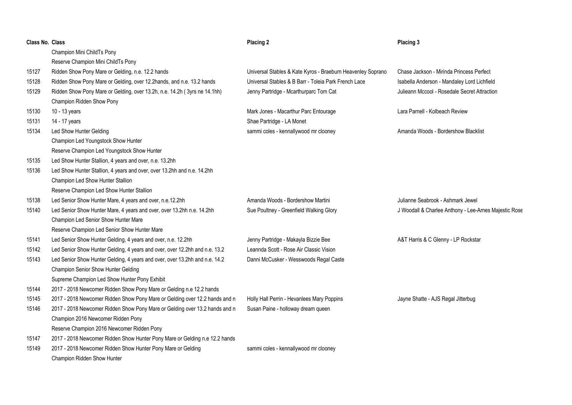| <b>Class No. Class</b> |                                                                             | Placing 2                                                   | Placing 3                                             |
|------------------------|-----------------------------------------------------------------------------|-------------------------------------------------------------|-------------------------------------------------------|
|                        | Champion Mini ChildTs Pony                                                  |                                                             |                                                       |
|                        | Reserve Champion Mini ChildTs Pony                                          |                                                             |                                                       |
| 15127                  | Ridden Show Pony Mare or Gelding, n.e. 12.2 hands                           | Universal Stables & Kate Kyros - Braeburn Heavenley Soprano | Chase Jackson - Mirinda Princess Perfect              |
| 15128                  | Ridden Show Pony Mare or Gelding, over 12.2hands, and n.e. 13.2 hands       | Universal Stables & B Barr - Toleia Park French Lace        | Isabella Anderson - Mandaley Lord Lichfield           |
| 15129                  | Ridden Show Pony Mare or Gelding, over 13.2h, n.e. 14.2h (3yrs ne 14.1hh)   | Jenny Partridge - Mcarthurparc Tom Cat                      | Julieann Mccool - Rosedale Secret Attraction          |
|                        | Champion Ridden Show Pony                                                   |                                                             |                                                       |
| 15130                  | 10 - 13 years                                                               | Mark Jones - Macarthur Parc Entourage                       | Lara Parnell - Kolbeach Review                        |
| 15131                  | 14 - 17 years                                                               | Shae Partridge - LA Monet                                   |                                                       |
| 15134                  | Led Show Hunter Gelding                                                     | sammi coles - kennallywood mr clooney                       | Amanda Woods - Bordershow Blacklist                   |
|                        | Champion Led Youngstock Show Hunter                                         |                                                             |                                                       |
|                        | Reserve Champion Led Youngstock Show Hunter                                 |                                                             |                                                       |
| 15135                  | Led Show Hunter Stallion, 4 years and over, n.e. 13.2hh                     |                                                             |                                                       |
| 15136                  | Led Show Hunter Stallion, 4 years and over, over 13.2hh and n.e. 14.2hh     |                                                             |                                                       |
|                        | Champion Led Show Hunter Stallion                                           |                                                             |                                                       |
|                        | Reserve Champion Led Show Hunter Stallion                                   |                                                             |                                                       |
| 15138                  | Led Senior Show Hunter Mare, 4 years and over, n.e.12.2hh                   | Amanda Woods - Bordershow Martini                           | Julianne Seabrook - Ashmark Jewel                     |
| 15140                  | Led Senior Show Hunter Mare, 4 years and over, over 13.2hh n.e. 14.2hh      | Sue Poultney - Greenfield Walking Glory                     | J Woodall & Charlee Anthony - Lee-Arnes Majestic Rose |
|                        | Champion Led Senior Show Hunter Mare                                        |                                                             |                                                       |
|                        | Reserve Champion Led Senior Show Hunter Mare                                |                                                             |                                                       |
| 15141                  | Led Senior Show Hunter Gelding, 4 years and over, n.e. 12.2hh               | Jenny Partridge - Makayla Bizzie Bee                        | A&T Harris & C Glenny - LP Rockstar                   |
| 15142                  | Led Senior Show Hunter Gelding, 4 years and over, over 12.2hh and n.e. 13.2 | Leannda Scott - Rose Air Classic Vision                     |                                                       |
| 15143                  | Led Senior Show Hunter Gelding, 4 years and over, over 13.2hh and n.e. 14.2 | Danni McCusker - Wesswoods Regal Caste                      |                                                       |
|                        | Champion Senior Show Hunter Gelding                                         |                                                             |                                                       |
|                        | Supreme Champion Led Show Hunter Pony Exhibit                               |                                                             |                                                       |
| 15144                  | 2017 - 2018 Newcomer Ridden Show Pony Mare or Gelding n.e 12.2 hands        |                                                             |                                                       |
| 15145                  | 2017 - 2018 Newcomer Ridden Show Pony Mare or Gelding over 12.2 hands and n | Holly Hall Perrin - Hevanlees Mary Poppins                  | Jayne Shatte - AJS Regal Jitterbug                    |
| 15146                  | 2017 - 2018 Newcomer Ridden Show Pony Mare or Gelding over 13.2 hands and n | Susan Paine - holloway dream queen                          |                                                       |
|                        | Champion 2016 Newcomer Ridden Pony                                          |                                                             |                                                       |
|                        | Reserve Champion 2016 Newcomer Ridden Pony                                  |                                                             |                                                       |
| 15147                  | 2017 - 2018 Newcomer Ridden Show Hunter Pony Mare or Gelding n.e 12.2 hands |                                                             |                                                       |
| 15149                  | 2017 - 2018 Newcomer Ridden Show Hunter Pony Mare or Gelding                | sammi coles - kennallywood mr clooney                       |                                                       |
|                        | Champion Ridden Show Hunter                                                 |                                                             |                                                       |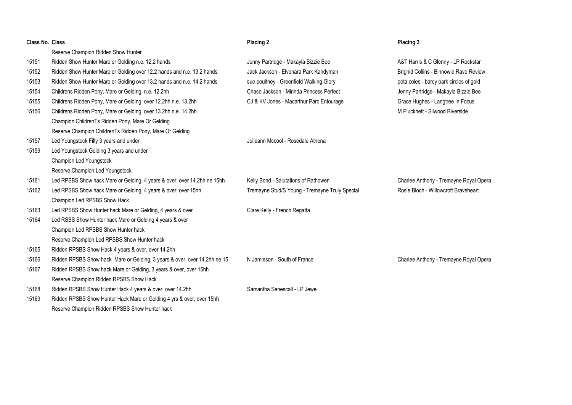| Class No. Class |                                                                           | Placing 2                                      | Placing 3                               |
|-----------------|---------------------------------------------------------------------------|------------------------------------------------|-----------------------------------------|
|                 | Reserve Champion Ridden Show Hunter                                       |                                                |                                         |
| 15151           | Ridden Show Hunter Mare or Gelding n.e. 12.2 hands                        | Jenny Partridge - Makayla Bizzie Bee           | A&T Harris & C Glenny - LP Rockstar     |
| 15152           | Ridden Show Hunter Mare or Gelding over 12.2 hands and n.e. 13.2 hands    | Jack Jackson - Elvonara Park Kandyman          | Brighid Collins - Binnowie Rave Review  |
| 15153           | Ridden Show Hunter Mare or Gelding over 13.2 hands and n.e. 14.2 hands    | sue poultney - Greenfield Walking Glory        | peta coles - barcy park circles of gold |
| 15154           | Childrens Ridden Pony, Mare or Gelding, n.e. 12.2hh                       | Chase Jackson - Mirinda Princess Perfect       | Jenny Partridge - Makayla Bizzie Bee    |
| 15155           | Childrens Ridden Pony, Mare or Gelding, over 12.2hh n.e. 13.2hh           | CJ & KV Jones - Macarthur Parc Entourage       | Grace Hughes - Langtree In Focus        |
| 15156           | Childrens Ridden Pony, Mare or Gelding, over 13.2hh n.e. 14.2hh           |                                                | M Plucknett - Silwood Riverside         |
|                 | Champion ChildrenTs Ridden Pony, Mare Or Gelding                          |                                                |                                         |
|                 | Reserve Champion ChildrenTs Ridden Pony, Mare Or Gelding                  |                                                |                                         |
| 15157           | Led Youngstock Filly 3 years and under                                    | Julieann Mccool - Rosedale Athena              |                                         |
| 15159           | Led Youngstock Gelding 3 years and under                                  |                                                |                                         |
|                 | Champion Led Youngstock                                                   |                                                |                                         |
|                 | Reserve Champion Led Youngstock                                           |                                                |                                         |
| 15161           | Led RPSBS Show hack Mare or Gelding, 4 years & over, over 14.2hh ne 15hh  | Kelly Bond - Salutations of Rathowen           | Charlee Anthony - Tremayne Royal Opera  |
| 15162           | Led RPSBS Show hack Mare or Gelding, 4 years & over, over 15hh            | Tremayne Stud/S Young - Tremayne Truly Special | Rosie Bloch - Willowcroft Braveheart    |
|                 | Champion Led RPSBS Show Hack                                              |                                                |                                         |
| 15163           | Led RPSBS Show Hunter hack Mare or Gelding, 4 years & over                | Clare Kelly - French Regatta                   |                                         |
| 15164           | Led RSBS Show Hunter hack Mare or Gelding 4 years & over                  |                                                |                                         |
|                 | Champion Led RPSBS Show Hunter hack                                       |                                                |                                         |
|                 | Reserve Champion Led RPSBS Show Hunter hack                               |                                                |                                         |
| 15165           | Ridden RPSBS Show Hack 4 years & over, over 14.2hh                        |                                                |                                         |
| 15166           | Ridden RPSBS Show hack Mare or Gelding, 3 years & over, over 14.2hh ne 15 | N Jamieson - South of France                   | Charlee Anthony - Tremayne Royal Opera  |
| 15167           | Ridden RPSBS Show hack Mare or Gelding, 3 years & over, over 15hh         |                                                |                                         |
|                 | Reserve Champion Ridden RPSBS Show Hack                                   |                                                |                                         |
| 15168           | Ridden RPSBS Show Hunter Hack 4 years & over, over 14.2hh                 | Samantha Senescall - LP Jewel                  |                                         |
| 15169           | Ridden RPSBS Show Hunter Hack Mare or Gelding 4 yrs & over, over 15hh     |                                                |                                         |
|                 | Reserve Champion Ridden RPSBS Show Hunter hack                            |                                                |                                         |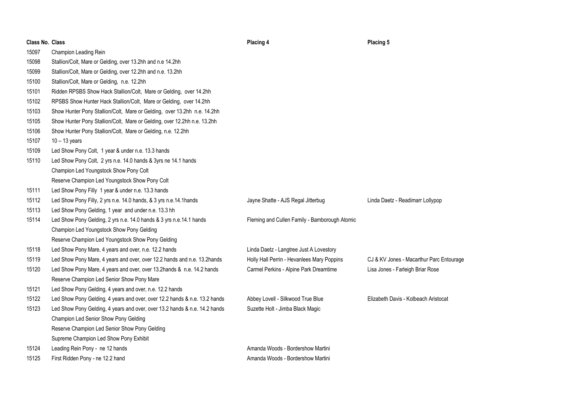| <b>Class No. Class</b> |                                                                            | Placing 4                                     | Placing 5                                |
|------------------------|----------------------------------------------------------------------------|-----------------------------------------------|------------------------------------------|
| 15097                  | Champion Leading Rein                                                      |                                               |                                          |
| 15098                  | Stallion/Colt, Mare or Gelding, over 13.2hh and n.e 14.2hh                 |                                               |                                          |
| 15099                  | Stallion/Colt, Mare or Gelding, over 12.2hh and n.e. 13.2hh                |                                               |                                          |
| 15100                  | Stallion/Colt, Mare or Gelding, n.e. 12.2hh                                |                                               |                                          |
| 15101                  | Ridden RPSBS Show Hack Stallion/Colt, Mare or Gelding, over 14.2hh         |                                               |                                          |
| 15102                  | RPSBS Show Hunter Hack Stallion/Colt, Mare or Gelding, over 14.2hh         |                                               |                                          |
| 15103                  | Show Hunter Pony Stallion/Colt, Mare or Gelding, over 13.2hh n.e. 14.2hh   |                                               |                                          |
| 15105                  | Show Hunter Pony Stallion/Colt, Mare or Gelding, over 12.2hh n.e. 13.2hh   |                                               |                                          |
| 15106                  | Show Hunter Pony Stallion/Colt, Mare or Gelding, n.e. 12.2hh               |                                               |                                          |
| 15107                  | $10 - 13$ years                                                            |                                               |                                          |
| 15109                  | Led Show Pony Colt, 1 year & under n.e. 13.3 hands                         |                                               |                                          |
| 15110                  | Led Show Pony Colt, 2 yrs n.e. 14.0 hands & 3yrs ne 14.1 hands             |                                               |                                          |
|                        | Champion Led Youngstock Show Pony Colt                                     |                                               |                                          |
|                        | Reserve Champion Led Youngstock Show Pony Colt                             |                                               |                                          |
| 15111                  | Led Show Pony Filly 1 year & under n.e. 13.3 hands                         |                                               |                                          |
| 15112                  | Led Show Pony Filly, 2 yrs n.e. 14.0 hands, & 3 yrs n.e.14.1hands          | Jayne Shatte - AJS Regal Jitterbug            | Linda Daetz - Readimarr Lollypop         |
| 15113                  | Led Show Pony Gelding, 1 year and under n.e. 13.3 hh                       |                                               |                                          |
| 15114                  | Led Show Pony Gelding, 2 yrs n.e. 14.0 hands & 3 yrs n.e.14.1 hands        | Fleming and Cullen Family - Bamborough Atomic |                                          |
|                        | Champion Led Youngstock Show Pony Gelding                                  |                                               |                                          |
|                        | Reserve Champion Led Youngstock Show Pony Gelding                          |                                               |                                          |
| 15118                  | Led Show Pony Mare, 4 years and over, n.e. 12.2 hands                      | Linda Daetz - Langtree Just A Lovestory       |                                          |
| 15119                  | Led Show Pony Mare, 4 years and over, over 12.2 hands and n.e. 13.2hands   | Holly Hall Perrin - Hevanlees Mary Poppins    | CJ & KV Jones - Macarthur Parc Entourage |
| 15120                  | Led Show Pony Mare, 4 years and over, over 13.2hands & n.e. 14.2 hands     | Carmel Perkins - Alpine Park Dreamtime        | Lisa Jones - Farleigh Briar Rose         |
|                        | Reserve Champion Led Senior Show Pony Mare                                 |                                               |                                          |
| 15121                  | Led Show Pony Gelding, 4 years and over, n.e. 12.2 hands                   |                                               |                                          |
| 15122                  | Led Show Pony Gelding, 4 years and over, over 12.2 hands & n.e. 13.2 hands | Abbey Lovell - Silkwood True Blue             | Elizabeth Davis - Kolbeach Aristocat     |
| 15123                  | Led Show Pony Gelding, 4 years and over, over 13.2 hands & n.e. 14.2 hands | Suzette Holt - Jimba Black Magic              |                                          |
|                        | Champion Led Senior Show Pony Gelding                                      |                                               |                                          |
|                        | Reserve Champion Led Senior Show Pony Gelding                              |                                               |                                          |
|                        | Supreme Champion Led Show Pony Exhibit                                     |                                               |                                          |
| 15124                  | Leading Rein Pony - ne 12 hands                                            | Amanda Woods - Bordershow Martini             |                                          |
| 15125                  | First Ridden Pony - ne 12.2 hand                                           | Amanda Woods - Bordershow Martini             |                                          |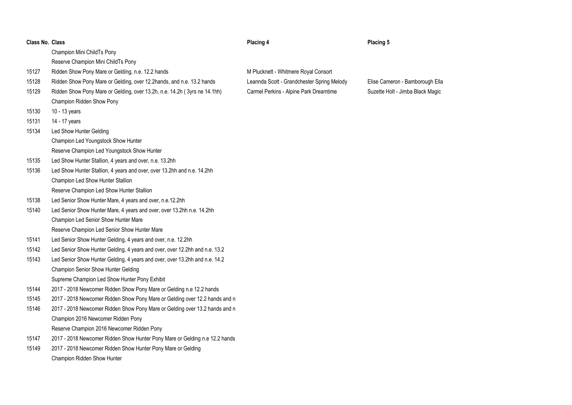| <b>Class No. Class</b> |  |  |
|------------------------|--|--|
|------------------------|--|--|

# **Placing 4 Placing 5**

M Plucknett - Whitmere Royal Consort

Leannda Scott - Grandchester Spring Melody Elise Cameron - Bamborough Ella Carmel Perkins - Alpine Park Dreamtime Suzette Holt - Jimba Black Magic

|       | Champion Mini ChildTs Pony                                                  |
|-------|-----------------------------------------------------------------------------|
|       | Reserve Champion Mini ChildTs Pony                                          |
| 15127 | Ridden Show Pony Mare or Gelding, n.e. 12.2 hands                           |
| 15128 | Ridden Show Pony Mare or Gelding, over 12.2hands, and n.e. 13.2 hands       |
| 15129 | Ridden Show Pony Mare or Gelding, over 13.2h, n.e. 14.2h (3yrs ne 14.1hh)   |
|       | Champion Ridden Show Pony                                                   |
| 15130 | 10 - 13 years                                                               |
| 15131 | 14 - 17 years                                                               |
| 15134 | Led Show Hunter Gelding                                                     |
|       | <b>Champion Led Youngstock Show Hunter</b>                                  |
|       | Reserve Champion Led Youngstock Show Hunter                                 |
| 15135 | Led Show Hunter Stallion, 4 years and over, n.e. 13.2hh                     |
| 15136 | Led Show Hunter Stallion, 4 years and over, over 13.2hh and n.e. 14.2hh     |
|       | Champion Led Show Hunter Stallion                                           |
|       | Reserve Champion Led Show Hunter Stallion                                   |
| 15138 | Led Senior Show Hunter Mare, 4 years and over, n.e.12.2hh                   |
| 15140 | Led Senior Show Hunter Mare, 4 years and over, over 13.2hh n.e. 14.2hh      |
|       | <b>Champion Led Senior Show Hunter Mare</b>                                 |
|       | Reserve Champion Led Senior Show Hunter Mare                                |
| 15141 | Led Senior Show Hunter Gelding, 4 years and over, n.e. 12.2hh               |
| 15142 | Led Senior Show Hunter Gelding, 4 years and over, over 12.2hh and n.e. 13.2 |
| 15143 | Led Senior Show Hunter Gelding, 4 years and over, over 13.2hh and n.e. 14.2 |
|       | Champion Senior Show Hunter Gelding                                         |
|       | Supreme Champion Led Show Hunter Pony Exhibit                               |
| 15144 | 2017 - 2018 Newcomer Ridden Show Pony Mare or Gelding n.e 12.2 hands        |
| 15145 | 2017 - 2018 Newcomer Ridden Show Pony Mare or Gelding over 12.2 hands and n |
| 15146 | 2017 - 2018 Newcomer Ridden Show Pony Mare or Gelding over 13.2 hands and n |
|       | Champion 2016 Newcomer Ridden Pony                                          |
|       | Reserve Champion 2016 Newcomer Ridden Pony                                  |
| 15147 | 2017 - 2018 Newcomer Ridden Show Hunter Pony Mare or Gelding n.e 12.2 hands |
| 15149 | 2017 - 2018 Newcomer Ridden Show Hunter Pony Mare or Gelding                |
|       | <b>Champion Ridden Show Hunter</b>                                          |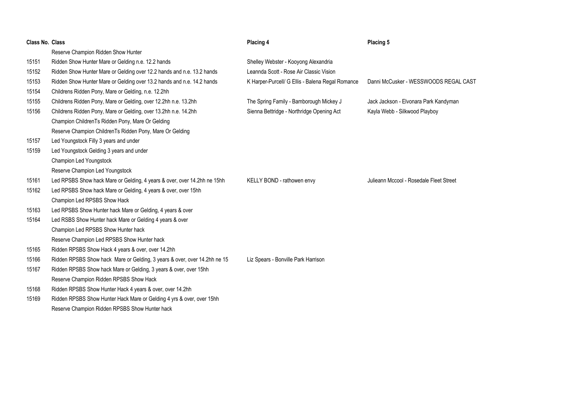| <b>Class No. Class</b> |                                                                           | Placing 4                                        | Placing 5                               |
|------------------------|---------------------------------------------------------------------------|--------------------------------------------------|-----------------------------------------|
|                        | Reserve Champion Ridden Show Hunter                                       |                                                  |                                         |
| 15151                  | Ridden Show Hunter Mare or Gelding n.e. 12.2 hands                        | Shelley Webster - Kooyong Alexandria             |                                         |
| 15152                  | Ridden Show Hunter Mare or Gelding over 12.2 hands and n.e. 13.2 hands    | Leannda Scott - Rose Air Classic Vision          |                                         |
| 15153                  | Ridden Show Hunter Mare or Gelding over 13.2 hands and n.e. 14.2 hands    | K Harper-Purcell/ G Ellis - Balena Regal Romance | Danni McCusker - WESSWOODS REGAL CAST   |
| 15154                  | Childrens Ridden Pony, Mare or Gelding, n.e. 12.2hh                       |                                                  |                                         |
| 15155                  | Childrens Ridden Pony, Mare or Gelding, over 12.2hh n.e. 13.2hh           | The Spring Family - Bamborough Mickey J          | Jack Jackson - Elvonara Park Kandyman   |
| 15156                  | Childrens Ridden Pony, Mare or Gelding, over 13.2hh n.e. 14.2hh           | Sienna Bettridge - Northridge Opening Act        | Kayla Webb - Silkwood Playboy           |
|                        | Champion ChildrenTs Ridden Pony, Mare Or Gelding                          |                                                  |                                         |
|                        | Reserve Champion ChildrenTs Ridden Pony, Mare Or Gelding                  |                                                  |                                         |
| 15157                  | Led Youngstock Filly 3 years and under                                    |                                                  |                                         |
| 15159                  | Led Youngstock Gelding 3 years and under                                  |                                                  |                                         |
|                        | <b>Champion Led Youngstock</b>                                            |                                                  |                                         |
|                        | Reserve Champion Led Youngstock                                           |                                                  |                                         |
| 15161                  | Led RPSBS Show hack Mare or Gelding, 4 years & over, over 14.2hh ne 15hh  | KELLY BOND - rathowen envy                       | Julieann Mccool - Rosedale Fleet Street |
| 15162                  | Led RPSBS Show hack Mare or Gelding, 4 years & over, over 15hh            |                                                  |                                         |
|                        | Champion Led RPSBS Show Hack                                              |                                                  |                                         |
| 15163                  | Led RPSBS Show Hunter hack Mare or Gelding, 4 years & over                |                                                  |                                         |
| 15164                  | Led RSBS Show Hunter hack Mare or Gelding 4 years & over                  |                                                  |                                         |
|                        | Champion Led RPSBS Show Hunter hack                                       |                                                  |                                         |
|                        | Reserve Champion Led RPSBS Show Hunter hack                               |                                                  |                                         |
| 15165                  | Ridden RPSBS Show Hack 4 years & over, over 14.2hh                        |                                                  |                                         |
| 15166                  | Ridden RPSBS Show hack Mare or Gelding, 3 years & over, over 14.2hh ne 15 | Liz Spears - Bonville Park Harrison              |                                         |
| 15167                  | Ridden RPSBS Show hack Mare or Gelding, 3 years & over, over 15hh         |                                                  |                                         |
|                        | Reserve Champion Ridden RPSBS Show Hack                                   |                                                  |                                         |
| 15168                  | Ridden RPSBS Show Hunter Hack 4 years & over, over 14.2hh                 |                                                  |                                         |
| 15169                  | Ridden RPSBS Show Hunter Hack Mare or Gelding 4 yrs & over, over 15hh     |                                                  |                                         |
|                        | Reserve Champion Ridden RPSBS Show Hunter hack                            |                                                  |                                         |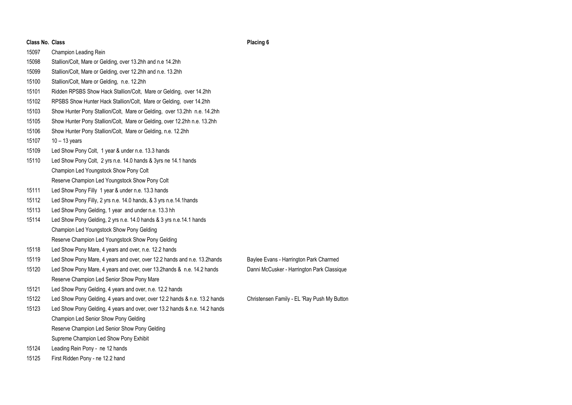| <b>Class No. Class</b>                                                       |                                                                            |  |  |
|------------------------------------------------------------------------------|----------------------------------------------------------------------------|--|--|
| 15097                                                                        | Champion Leading Rein                                                      |  |  |
| 15098                                                                        | Stallion/Colt, Mare or Gelding, over 13.2hh and n.e 14.2hh                 |  |  |
| 15099                                                                        | Stallion/Colt, Mare or Gelding, over 12.2hh and n.e. 13.2hh                |  |  |
| 15100                                                                        | Stallion/Colt, Mare or Gelding, n.e. 12.2hh                                |  |  |
| 15101                                                                        | Ridden RPSBS Show Hack Stallion/Colt, Mare or Gelding, over 14.2hh         |  |  |
| 15102                                                                        | RPSBS Show Hunter Hack Stallion/Colt, Mare or Gelding, over 14.2hh         |  |  |
| 15103                                                                        | Show Hunter Pony Stallion/Colt, Mare or Gelding, over 13.2hh n.e. 14.2hh   |  |  |
| 15105                                                                        | Show Hunter Pony Stallion/Colt, Mare or Gelding, over 12.2hh n.e. 13.2hh   |  |  |
| 15106                                                                        | Show Hunter Pony Stallion/Colt, Mare or Gelding, n.e. 12.2hh               |  |  |
| 15107                                                                        | $10 - 13$ years                                                            |  |  |
| 15109                                                                        | Led Show Pony Colt, 1 year & under n.e. 13.3 hands                         |  |  |
| 15110                                                                        | Led Show Pony Colt, 2 yrs n.e. 14.0 hands & 3yrs ne 14.1 hands             |  |  |
|                                                                              | Champion Led Youngstock Show Pony Colt                                     |  |  |
|                                                                              | Reserve Champion Led Youngstock Show Pony Colt                             |  |  |
| 15111                                                                        | Led Show Pony Filly 1 year & under n.e. 13.3 hands                         |  |  |
| 15112                                                                        | Led Show Pony Filly, 2 yrs n.e. 14.0 hands, & 3 yrs n.e.14.1 hands         |  |  |
| 15113                                                                        | Led Show Pony Gelding, 1 year and under n.e. 13.3 hh                       |  |  |
| 15114<br>Led Show Pony Gelding, 2 yrs n.e. 14.0 hands & 3 yrs n.e.14.1 hands |                                                                            |  |  |
|                                                                              | Champion Led Youngstock Show Pony Gelding                                  |  |  |
|                                                                              | Reserve Champion Led Youngstock Show Pony Gelding                          |  |  |
| 15118                                                                        | Led Show Pony Mare, 4 years and over, n.e. 12.2 hands                      |  |  |
| 15119                                                                        | Led Show Pony Mare, 4 years and over, over 12.2 hands and n.e. 13.2hands   |  |  |
| 15120                                                                        | Led Show Pony Mare, 4 years and over, over 13.2hands & n.e. 14.2 hands     |  |  |
|                                                                              | Reserve Champion Led Senior Show Pony Mare                                 |  |  |
| 15121                                                                        | Led Show Pony Gelding, 4 years and over, n.e. 12.2 hands                   |  |  |
| 15122                                                                        | Led Show Pony Gelding, 4 years and over, over 12.2 hands & n.e. 13.2 hands |  |  |
| 15123                                                                        | Led Show Pony Gelding, 4 years and over, over 13.2 hands & n.e. 14.2 hands |  |  |
|                                                                              | Champion Led Senior Show Pony Gelding                                      |  |  |
|                                                                              | Reserve Champion Led Senior Show Pony Gelding                              |  |  |
|                                                                              | Supreme Champion Led Show Pony Exhibit                                     |  |  |
| 15124                                                                        | Leading Rein Pony - ne 12 hands                                            |  |  |

First Ridden Pony - ne 12.2 hand

Baylee Evans - Harrington Park Charmed Danni McCusker - Harrington Park Classique

**Placing 6**

Christensen Family - EL 'Ray Push My Button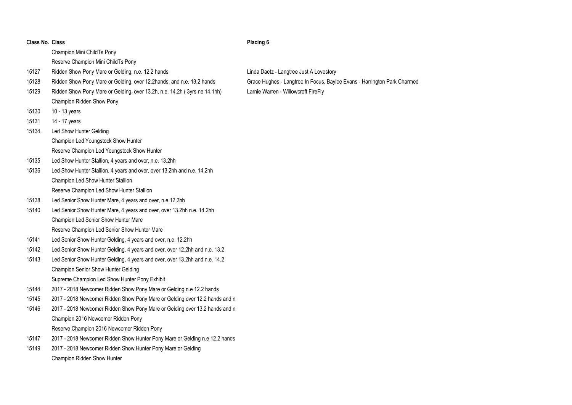| Class No. Class |                                                                             |  |  |
|-----------------|-----------------------------------------------------------------------------|--|--|
|                 | Champion Mini ChildTs Pony                                                  |  |  |
|                 | Reserve Champion Mini ChildTs Pony                                          |  |  |
| 15127           | Ridden Show Pony Mare or Gelding, n.e. 12.2 hands                           |  |  |
| 15128           | Ridden Show Pony Mare or Gelding, over 12.2hands, and n.e. 13.2 hands       |  |  |
| 15129           | Ridden Show Pony Mare or Gelding, over 13.2h, n.e. 14.2h (3yrs ne 14.1hh)   |  |  |
|                 | Champion Ridden Show Pony                                                   |  |  |
| 15130           | 10 - 13 years                                                               |  |  |
| 15131           | 14 - 17 years                                                               |  |  |
| 15134           | Led Show Hunter Gelding                                                     |  |  |
|                 | Champion Led Youngstock Show Hunter                                         |  |  |
|                 | Reserve Champion Led Youngstock Show Hunter                                 |  |  |
| 15135           | Led Show Hunter Stallion, 4 years and over, n.e. 13.2hh                     |  |  |
| 15136           | Led Show Hunter Stallion, 4 years and over, over 13.2hh and n.e. 14.2hh     |  |  |
|                 | Champion Led Show Hunter Stallion                                           |  |  |
|                 | Reserve Champion Led Show Hunter Stallion                                   |  |  |
| 15138           | Led Senior Show Hunter Mare, 4 years and over, n.e.12.2hh                   |  |  |
| 15140           | Led Senior Show Hunter Mare, 4 years and over, over 13.2hh n.e. 14.2hh      |  |  |
|                 | Champion Led Senior Show Hunter Mare                                        |  |  |
|                 | Reserve Champion Led Senior Show Hunter Mare                                |  |  |
| 15141           | Led Senior Show Hunter Gelding, 4 years and over, n.e. 12.2hh               |  |  |
| 15142           | Led Senior Show Hunter Gelding, 4 years and over, over 12.2hh and n.e. 13.2 |  |  |
| 15143           | Led Senior Show Hunter Gelding, 4 years and over, over 13.2hh and n.e. 14.2 |  |  |
|                 | Champion Senior Show Hunter Gelding                                         |  |  |
|                 | Supreme Champion Led Show Hunter Pony Exhibit                               |  |  |
| 15144           | 2017 - 2018 Newcomer Ridden Show Pony Mare or Gelding n.e 12.2 hands        |  |  |
| 15145           | 2017 - 2018 Newcomer Ridden Show Pony Mare or Gelding over 12.2 hands and n |  |  |
| 15146           | 2017 - 2018 Newcomer Ridden Show Pony Mare or Gelding over 13.2 hands and n |  |  |
|                 | Champion 2016 Newcomer Ridden Pony                                          |  |  |
|                 | Reserve Champion 2016 Newcomer Ridden Pony                                  |  |  |
| 15147           | 2017 - 2018 Newcomer Ridden Show Hunter Pony Mare or Gelding n.e 12.2 hands |  |  |
| 15149           | 2017 - 2018 Newcomer Ridden Show Hunter Pony Mare or Gelding                |  |  |
|                 | Champion Ridden Show Hunter                                                 |  |  |

**Placing 6**

Linda Daetz - Langtree Just A Lovestory Grace Hughes - Langtree In Focus, Baylee Evans - Harrington Park Charmed Larnie Warren - Willowcroft FireFly